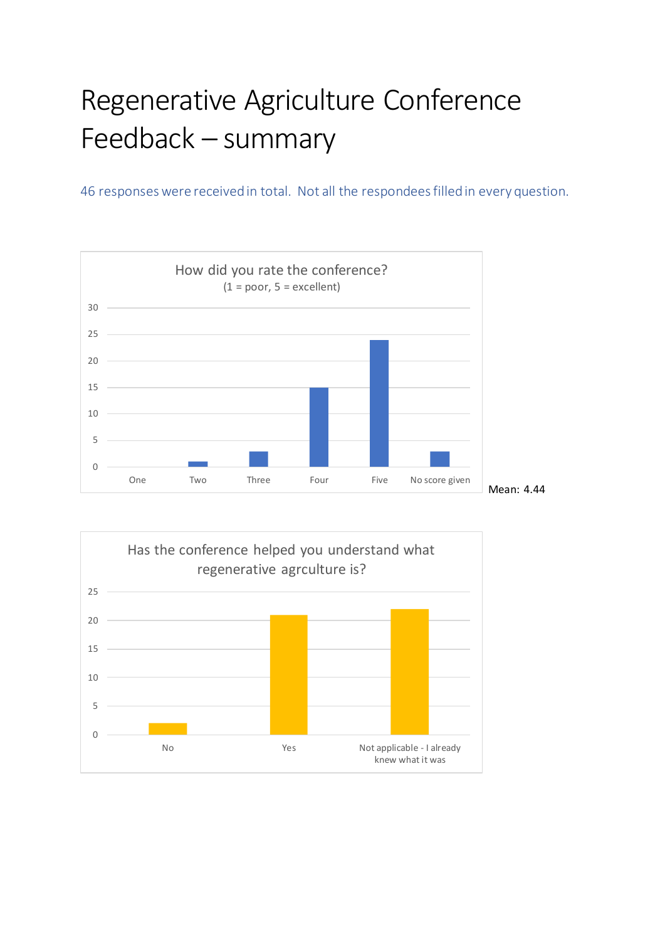## Regenerative Agriculture Conference Feedback – summary

46 responses were received in total. Not all the respondees filled in every question.



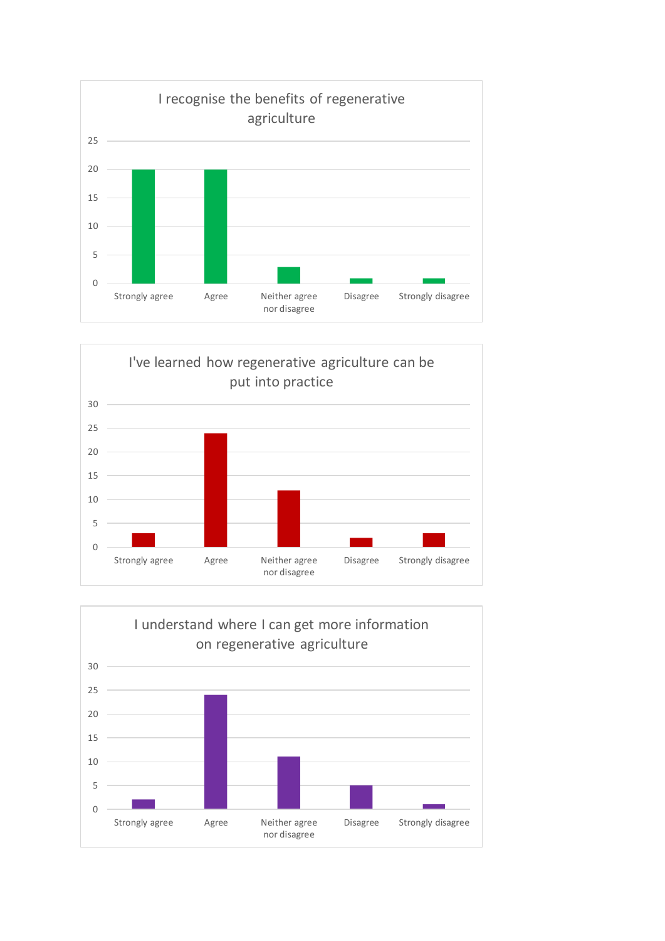



![](_page_1_Figure_2.jpeg)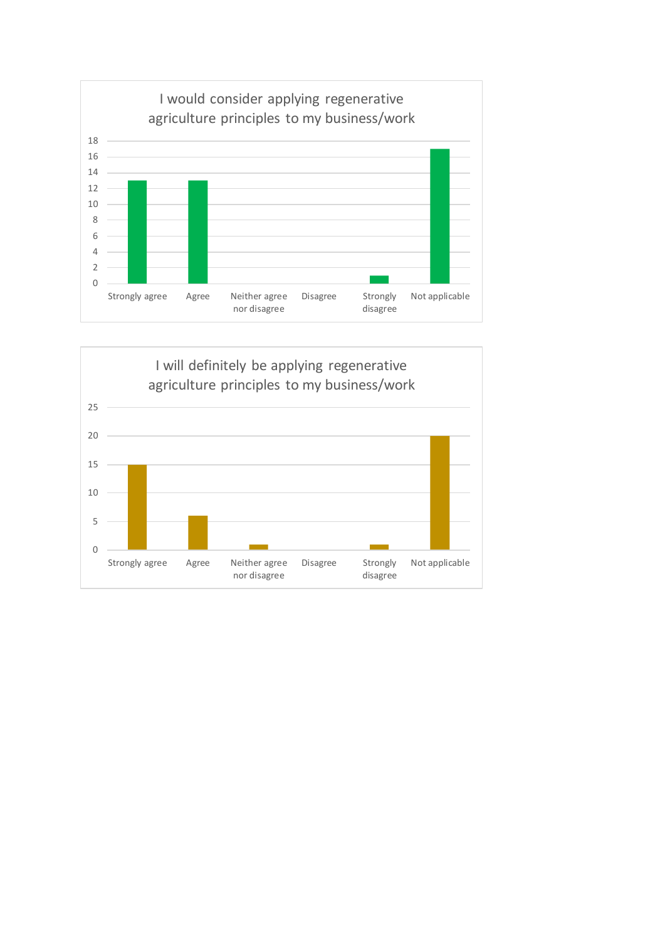![](_page_2_Figure_0.jpeg)

![](_page_2_Figure_1.jpeg)